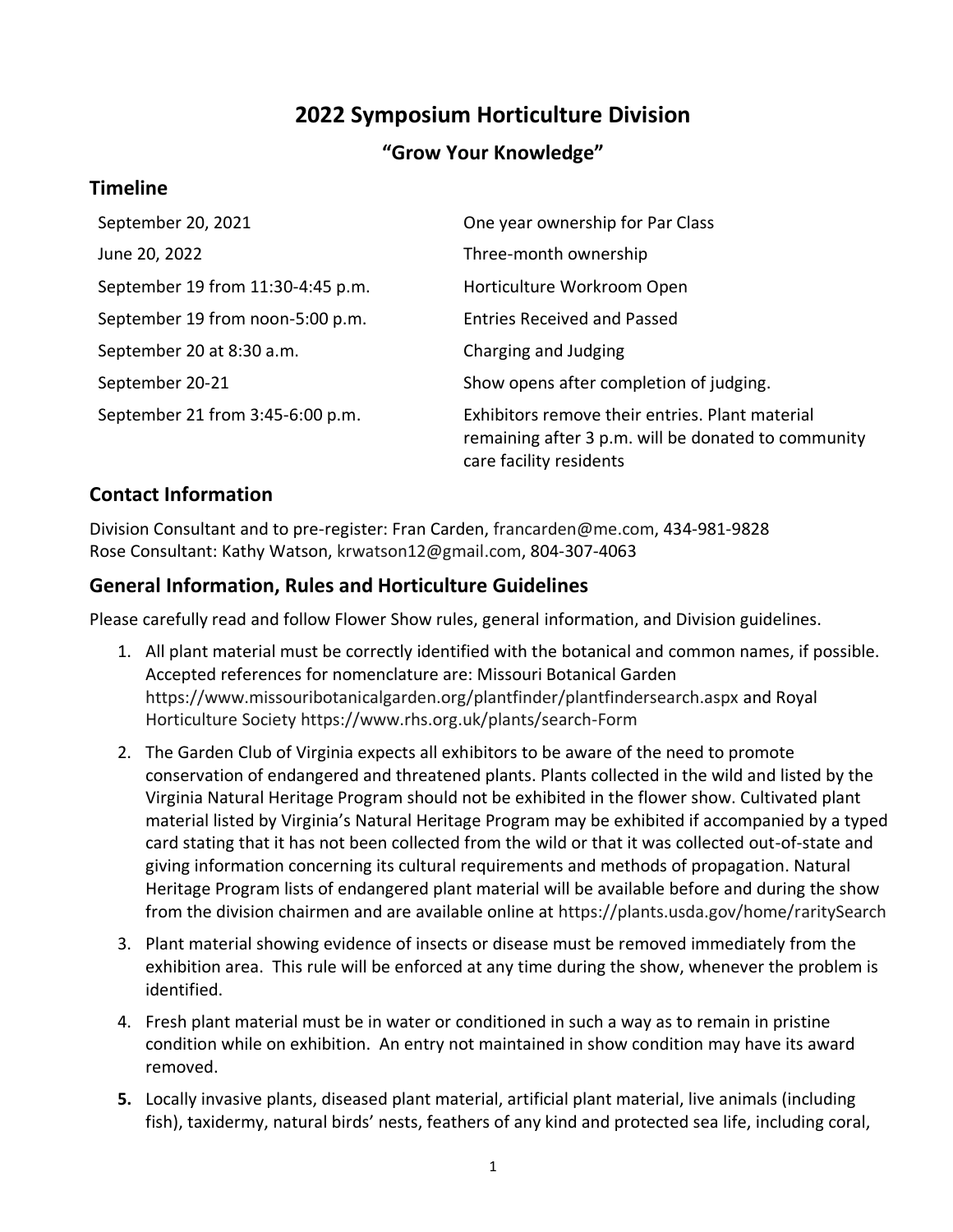# **2022 Symposium Horticulture Division**

# **"Grow Your Knowledge"**

## **Timeline**

| September 20, 2021                | One year ownership for Par Class                                                                                                  |
|-----------------------------------|-----------------------------------------------------------------------------------------------------------------------------------|
| June 20, 2022                     | Three-month ownership                                                                                                             |
| September 19 from 11:30-4:45 p.m. | Horticulture Workroom Open                                                                                                        |
| September 19 from noon-5:00 p.m.  | <b>Entries Received and Passed</b>                                                                                                |
| September 20 at 8:30 a.m.         | Charging and Judging                                                                                                              |
| September 20-21                   | Show opens after completion of judging.                                                                                           |
| September 21 from 3:45-6:00 p.m.  | Exhibitors remove their entries. Plant material<br>remaining after 3 p.m. will be donated to community<br>care facility residents |

## **Contact Information**

Division Consultant and to pre-register: Fran Carden, [francarden@me.com,](mailto:francarden@me.com) 434-981-9828 Rose Consultant: Kathy Watson, [krwatson12@gmail.com,](mailto:krwatson12@gmail.com) 804-307-4063

## **General Information, Rules and Horticulture Guidelines**

Please carefully read and follow Flower Show rules, general information, and Division guidelines.

- 1. All plant material must be correctly identified with the botanical and common names, if possible. Accepted references for nomenclature are: Missouri Botanical Garden <https://www.missouribotanicalgarden.org/plantfinder/plantfindersearch.aspx> and Royal Horticulture Society<https://www.rhs.org.uk/plants/search-Form>
- 2. The Garden Club of Virginia expects all exhibitors to be aware of the need to promote conservation of endangered and threatened plants. Plants collected in the wild and listed by the Virginia Natural Heritage Program should not be exhibited in the flower show. Cultivated plant material listed by Virginia's Natural Heritage Program may be exhibited if accompanied by a typed card stating that it has not been collected from the wild or that it was collected out-of-state and giving information concerning its cultural requirements and methods of propagation. Natural Heritage Program lists of endangered plant material will be available before and during the show from the division chairmen and are available online at<https://plants.usda.gov/home/raritySearch>
- 3. Plant material showing evidence of insects or disease must be removed immediately from the exhibition area. This rule will be enforced at any time during the show, whenever the problem is identified.
- 4. Fresh plant material must be in water or conditioned in such a way as to remain in pristine condition while on exhibition. An entry not maintained in show condition may have its award removed.
- **5.** Locally invasive plants, diseased plant material, artificial plant material, live animals (including fish), taxidermy, natural birds' nests, feathers of any kind and protected sea life, including coral,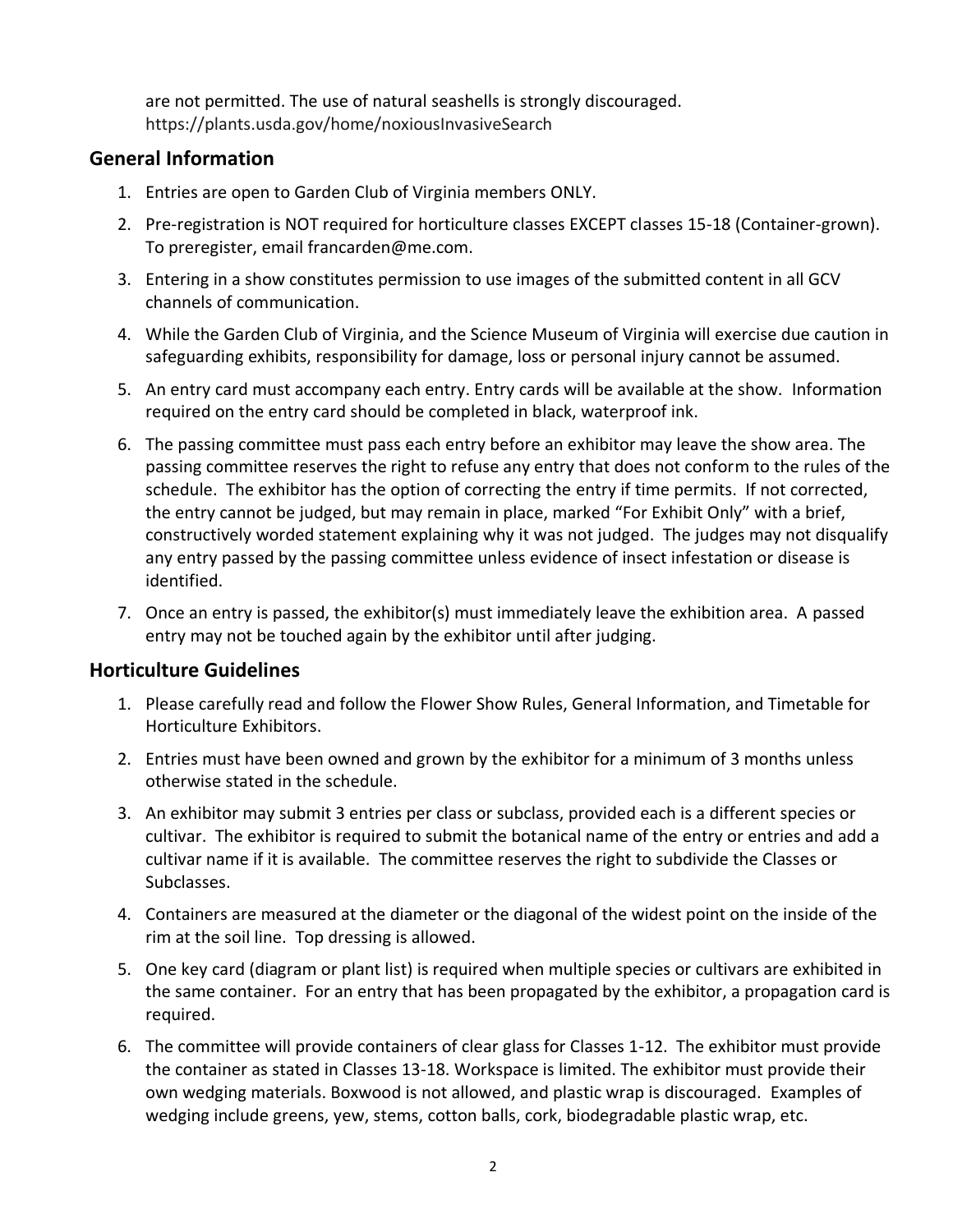are not permitted. The use of natural seashells is strongly discouraged. <https://plants.usda.gov/home/noxiousInvasiveSearch>

#### **General Information**

- 1. Entries are open to Garden Club of Virginia members ONLY.
- 2. Pre-registration is NOT required for horticulture classes EXCEPT classes 15-18 (Container-grown). To preregister, email [francarden@me.com.](mailto:francarden@me.com)
- 3. Entering in a show constitutes permission to use images of the submitted content in all GCV channels of communication.
- 4. While the Garden Club of Virginia, and the Science Museum of Virginia will exercise due caution in safeguarding exhibits, responsibility for damage, loss or personal injury cannot be assumed.
- 5. An entry card must accompany each entry. Entry cards will be available at the show. Information required on the entry card should be completed in black, waterproof ink.
- 6. The passing committee must pass each entry before an exhibitor may leave the show area. The passing committee reserves the right to refuse any entry that does not conform to the rules of the schedule. The exhibitor has the option of correcting the entry if time permits. If not corrected, the entry cannot be judged, but may remain in place, marked "For Exhibit Only" with a brief, constructively worded statement explaining why it was not judged. The judges may not disqualify any entry passed by the passing committee unless evidence of insect infestation or disease is identified.
- 7. Once an entry is passed, the exhibitor(s) must immediately leave the exhibition area. A passed entry may not be touched again by the exhibitor until after judging.

## **Horticulture Guidelines**

- 1. Please carefully read and follow the Flower Show Rules, General Information, and Timetable for Horticulture Exhibitors.
- 2. Entries must have been owned and grown by the exhibitor for a minimum of 3 months unless otherwise stated in the schedule.
- 3. An exhibitor may submit 3 entries per class or subclass, provided each is a different species or cultivar. The exhibitor is required to submit the botanical name of the entry or entries and add a cultivar name if it is available. The committee reserves the right to subdivide the Classes or Subclasses.
- 4. Containers are measured at the diameter or the diagonal of the widest point on the inside of the rim at the soil line. Top dressing is allowed.
- 5. One key card (diagram or plant list) is required when multiple species or cultivars are exhibited in the same container. For an entry that has been propagated by the exhibitor, a propagation card is required.
- 6. The committee will provide containers of clear glass for Classes 1-12. The exhibitor must provide the container as stated in Classes 13-18. Workspace is limited. The exhibitor must provide their own wedging materials. Boxwood is not allowed, and plastic wrap is discouraged. Examples of wedging include greens, yew, stems, cotton balls, cork, biodegradable plastic wrap, etc.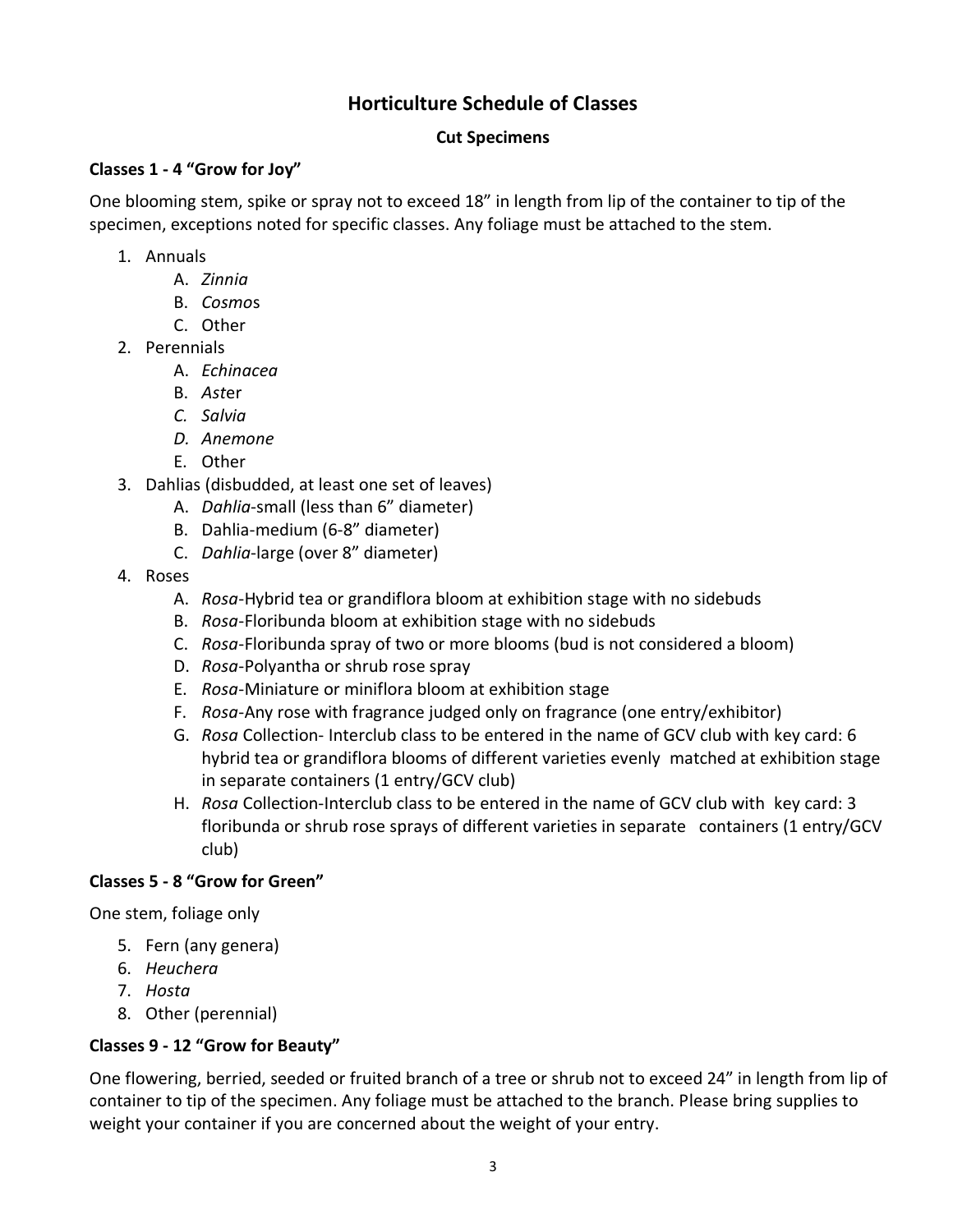# **Horticulture Schedule of Classes**

#### **Cut Specimens**

#### **Classes 1 - 4 "Grow for Joy"**

One blooming stem, spike or spray not to exceed 18" in length from lip of the container to tip of the specimen, exceptions noted for specific classes. Any foliage must be attached to the stem.

- 1. Annuals
	- A. *Zinnia*
	- B. *Cosmo*s
	- C. Other
- 2. Perennials
	- A. *Echinacea*
	- B. *Ast*er
	- *C. Salvia*
	- *D. Anemone*
	- E. Other
- 3. Dahlias (disbudded, at least one set of leaves)
	- A. *Dahlia*-small (less than 6" diameter)
	- B. Dahlia-medium (6-8" diameter)
	- C. *Dahlia*-large (over 8" diameter)
- 4. Roses
	- A. *Rosa*-Hybrid tea or grandiflora bloom at exhibition stage with no sidebuds
	- B. *Rosa*-Floribunda bloom at exhibition stage with no sidebuds
	- C. *Rosa*-Floribunda spray of two or more blooms (bud is not considered a bloom)
	- D. *Rosa*-Polyantha or shrub rose spray
	- E. *Rosa*-Miniature or miniflora bloom at exhibition stage
	- F. *Rosa*-Any rose with fragrance judged only on fragrance (one entry/exhibitor)
	- G. *Rosa* Collection- Interclub class to be entered in the name of GCV club with key card: 6 hybrid tea or grandiflora blooms of different varieties evenly matched at exhibition stage in separate containers (1 entry/GCV club)
	- H. *Rosa* Collection-Interclub class to be entered in the name of GCV club with key card: 3 floribunda or shrub rose sprays of different varieties in separate containers (1 entry/GCV club)

## **Classes 5 - 8 "Grow for Green"**

One stem, foliage only

- 5. Fern (any genera)
- 6. *Heuchera*
- 7. *Hosta*
- 8. Other (perennial)

#### **Classes 9 - 12 "Grow for Beauty"**

One flowering, berried, seeded or fruited branch of a tree or shrub not to exceed 24" in length from lip of container to tip of the specimen. Any foliage must be attached to the branch. Please bring supplies to weight your container if you are concerned about the weight of your entry.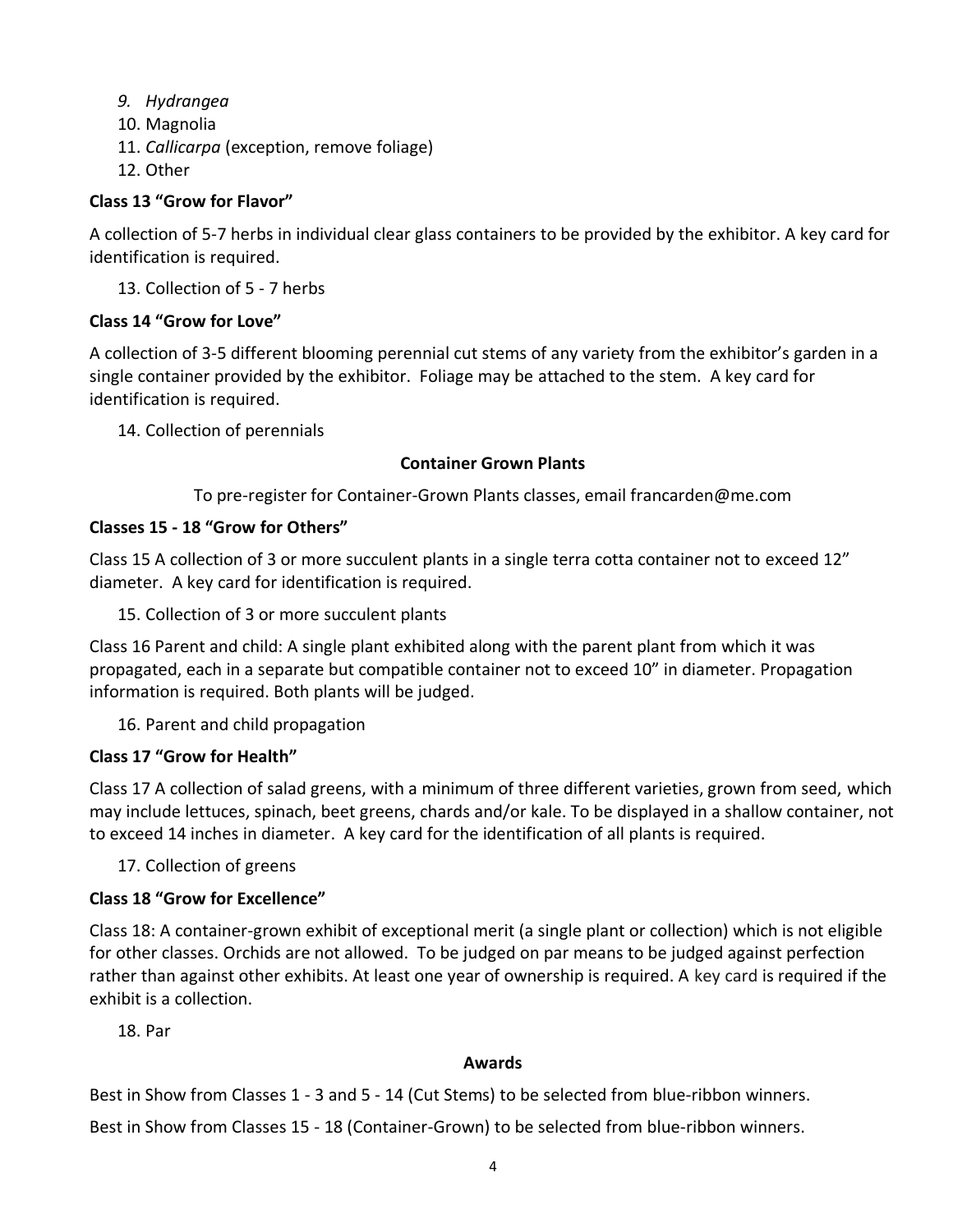- *9. Hydrangea*
- 10. Magnolia
- 11. *Callicarpa* (exception, remove foliage)
- 12. Other

#### **Class 13 "Grow for Flavor"**

A collection of 5-7 herbs in individual clear glass containers to be provided by the exhibitor. A key card for identification is required.

13. Collection of 5 - 7 herbs

#### **Class 14 "Grow for Love"**

A collection of 3-5 different blooming perennial cut stems of any variety from the exhibitor's garden in a single container provided by the exhibitor. Foliage may be attached to the stem. A key card for identification is required.

14. Collection of perennials

#### **Container Grown Plants**

To pre-register for Container-Grown Plants classes, email francarden@me.com

#### **Classes 15 - 18 "Grow for Others"**

Class 15 A collection of 3 or more succulent plants in a single terra cotta container not to exceed 12" diameter. A key card for identification is required.

15. Collection of 3 or more succulent plants

Class 16 Parent and child: A single plant exhibited along with the parent plant from which it was propagated, each in a separate but compatible container not to exceed 10" in diameter. Propagation information is required. Both plants will be judged.

16. Parent and child propagation

## **Class 17 "Grow for Health"**

Class 17 A collection of salad greens, with a minimum of three different varieties, grown from seed, which may include lettuces, spinach, beet greens, chards and/or kale. To be displayed in a shallow container, not to exceed 14 inches in diameter. A key card for the identification of all plants is required.

17. Collection of greens

## **Class 18 "Grow for Excellence"**

Class 18: A container-grown exhibit of exceptional merit (a single plant or collection) which is not eligible for other classes. Orchids are not allowed. To be judged on par means to be judged against perfection rather than against other exhibits. At least one year of ownership is required. A key card is required if the exhibit is a collection.

18. Par

#### **Awards**

Best in Show from Classes 1 - 3 and 5 - 14 (Cut Stems) to be selected from blue-ribbon winners.

Best in Show from Classes 15 - 18 (Container-Grown) to be selected from blue-ribbon winners.